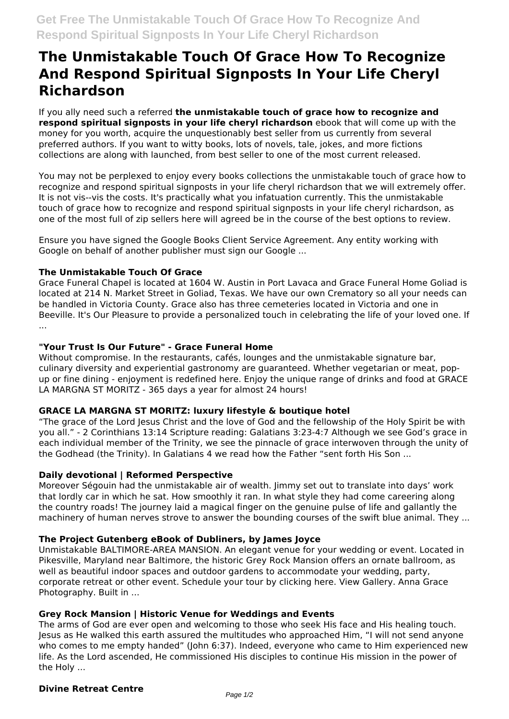# **The Unmistakable Touch Of Grace How To Recognize And Respond Spiritual Signposts In Your Life Cheryl Richardson**

If you ally need such a referred **the unmistakable touch of grace how to recognize and respond spiritual signposts in your life cheryl richardson** ebook that will come up with the money for you worth, acquire the unquestionably best seller from us currently from several preferred authors. If you want to witty books, lots of novels, tale, jokes, and more fictions collections are along with launched, from best seller to one of the most current released.

You may not be perplexed to enjoy every books collections the unmistakable touch of grace how to recognize and respond spiritual signposts in your life cheryl richardson that we will extremely offer. It is not vis--vis the costs. It's practically what you infatuation currently. This the unmistakable touch of grace how to recognize and respond spiritual signposts in your life cheryl richardson, as one of the most full of zip sellers here will agreed be in the course of the best options to review.

Ensure you have signed the Google Books Client Service Agreement. Any entity working with Google on behalf of another publisher must sign our Google ...

## **The Unmistakable Touch Of Grace**

Grace Funeral Chapel is located at 1604 W. Austin in Port Lavaca and Grace Funeral Home Goliad is located at 214 N. Market Street in Goliad, Texas. We have our own Crematory so all your needs can be handled in Victoria County. Grace also has three cemeteries located in Victoria and one in Beeville. It's Our Pleasure to provide a personalized touch in celebrating the life of your loved one. If ...

#### **"Your Trust Is Our Future" - Grace Funeral Home**

Without compromise. In the restaurants, cafés, lounges and the unmistakable signature bar, culinary diversity and experiential gastronomy are guaranteed. Whether vegetarian or meat, popup or fine dining - enjoyment is redefined here. Enjoy the unique range of drinks and food at GRACE LA MARGNA ST MORITZ - 365 days a year for almost 24 hours!

## **GRACE LA MARGNA ST MORITZ: luxury lifestyle & boutique hotel**

"The grace of the Lord Jesus Christ and the love of God and the fellowship of the Holy Spirit be with you all." - 2 Corinthians 13:14 Scripture reading: Galatians 3:23-4:7 Although we see God's grace in each individual member of the Trinity, we see the pinnacle of grace interwoven through the unity of the Godhead (the Trinity). In Galatians 4 we read how the Father "sent forth His Son ...

#### **Daily devotional | Reformed Perspective**

Moreover Ségouin had the unmistakable air of wealth. Jimmy set out to translate into days' work that lordly car in which he sat. How smoothly it ran. In what style they had come careering along the country roads! The journey laid a magical finger on the genuine pulse of life and gallantly the machinery of human nerves strove to answer the bounding courses of the swift blue animal. They ...

## **The Project Gutenberg eBook of Dubliners, by James Joyce**

Unmistakable BALTIMORE-AREA MANSION. An elegant venue for your wedding or event. Located in Pikesville, Maryland near Baltimore, the historic Grey Rock Mansion offers an ornate ballroom, as well as beautiful indoor spaces and outdoor gardens to accommodate your wedding, party, corporate retreat or other event. Schedule your tour by clicking here. View Gallery. Anna Grace Photography. Built in ...

## **Grey Rock Mansion | Historic Venue for Weddings and Events**

The arms of God are ever open and welcoming to those who seek His face and His healing touch. Jesus as He walked this earth assured the multitudes who approached Him, "I will not send anyone who comes to me empty handed" (John 6:37). Indeed, everyone who came to Him experienced new life. As the Lord ascended, He commissioned His disciples to continue His mission in the power of the Holy ...

#### **Divine Retreat Centre**